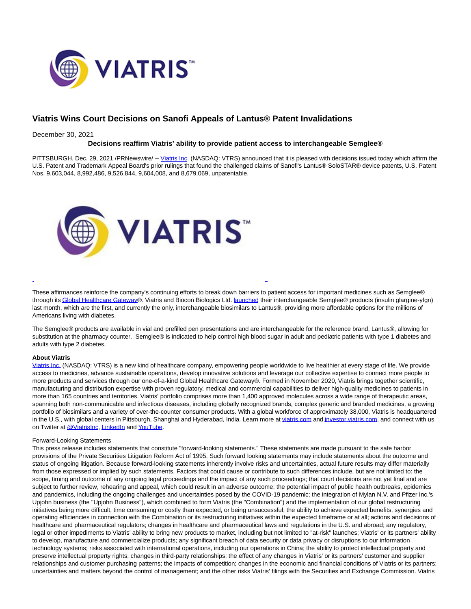

# **Viatris Wins Court Decisions on Sanofi Appeals of Lantus® Patent Invalidations**

### December 30, 2021

## **Decisions reaffirm Viatris' ability to provide patient access to interchangeable Semglee®**

PITTSBURGH, Dec. 29, 2021 /PRNewswire/ -- [Viatris Inc.](https://c212.net/c/link/?t=0&l=en&o=3400678-1&h=1517815185&u=https%3A%2F%2Fwww.viatris.com%2Fen&a=Viatris+Inc) (NASDAQ: VTRS) announced that it is pleased with decisions issued today which affirm the U.S. Patent and Trademark Appeal Board's prior rulings that found the challenged claims of Sanofi's Lantus® SoloSTAR® device patents, U.S. Patent Nos. 9,603,044, 8,992,486, 9,526,844, 9,604,008, and 8,679,069, unpatentable.



These affirmances reinforce the company's continuing efforts to break down barriers to patient access for important medicines such as Semglee® through it[s Global Healthcare Gateway®](https://c212.net/c/link/?t=0&l=en&o=3400678-1&h=464800081&u=https%3A%2F%2Fwww.viatris.com%2Fen%2Fabout-us%2Fglobal-healthcare-gateway&a=Global+Healthcare+Gateway). Viatris and Biocon Biologics Ltd. [launched t](https://c212.net/c/link/?t=0&l=en&o=3400678-1&h=3264290448&u=https%3A%2F%2Fnewsroom.viatris.com%2F2021-11-16-Viatris-and-Biocon-Biologics-Announce-Launch-of-Interchangeable-SEMGLEE-R-insulin-glargine-yfgn-Injection-and-Insulin-Glargine-insulin-glargine-yfgn-Injection&a=launched)heir interchangeable Semglee® products (insulin glargine-yfgn) last month, which are the first, and currently the only, interchangeable biosimilars to Lantus®, providing more affordable options for the millions of Americans living with diabetes.

L

The Semglee® products are available in vial and prefilled pen presentations and are interchangeable for the reference brand, Lantus®, allowing for substitution at the pharmacy counter. Semglee® is indicated to help control high blood sugar in adult and pediatric patients with type 1 diabetes and adults with type 2 diabetes.

### **About Viatris**

[Viatris Inc. \(](https://c212.net/c/link/?t=0&l=en&o=3400678-1&h=1890597009&u=https%3A%2F%2Fwww.viatris.com%2F&a=Viatris%C2%A0Inc.)NASDAQ: VTRS) is a new kind of healthcare company, empowering people worldwide to live healthier at every stage of life. We provide access to medicines, advance sustainable operations, develop innovative solutions and leverage our collective expertise to connect more people to more products and services through our one-of-a-kind Global Healthcare Gateway®. Formed in November 2020, Viatris brings together scientific, manufacturing and distribution expertise with proven regulatory, medical and commercial capabilities to deliver high-quality medicines to patients in more than 165 countries and territories. Viatris' portfolio comprises more than 1,400 approved molecules across a wide range of therapeutic areas, spanning both non-communicable and infectious diseases, including globally recognized brands, complex generic and branded medicines, a growing portfolio of biosimilars and a variety of over-the-counter consumer products. With a global workforce of approximately 38,000, Viatris is headquartered in the U.S., with global centers in Pittsburgh, Shanghai and Hyderabad, India. Learn more at [viatris.com a](https://c212.net/c/link/?t=0&l=en&o=3400678-1&h=1656898544&u=https%3A%2F%2Fwww.viatris.com%2Fen&a=viatris.com)n[d investor.viatris.com,](https://c212.net/c/link/?t=0&l=en&o=3400678-1&h=688023272&u=https%3A%2F%2Finvestor.viatris.com%2F&a=investor.viatris.com) and connect with us on Twitter a[t @ViatrisInc,](https://c212.net/c/link/?t=0&l=en&o=3400678-1&h=1145505256&u=https%3A%2F%2Ftwitter.com%2Fviatrisinc&a=%40ViatrisInc) [LinkedIn a](https://c212.net/c/link/?t=0&l=en&o=3400678-1&h=3900783019&u=https%3A%2F%2Fwww.linkedin.com%2Fcompany%2Fviatris%2F&a=LinkedIn)nd YouTube.

#### Forward-Looking Statements

This press release includes statements that constitute "forward-looking statements." These statements are made pursuant to the safe harbor provisions of the Private Securities Litigation Reform Act of 1995. Such forward looking statements may include statements about the outcome and status of ongoing litigation. Because forward-looking statements inherently involve risks and uncertainties, actual future results may differ materially from those expressed or implied by such statements. Factors that could cause or contribute to such differences include, but are not limited to: the scope, timing and outcome of any ongoing legal proceedings and the impact of any such proceedings; that court decisions are not yet final and are subject to further review, rehearing and appeal, which could result in an adverse outcome; the potential impact of public health outbreaks, epidemics and pandemics, including the ongoing challenges and uncertainties posed by the COVID-19 pandemic; the integration of Mylan N.V. and Pfizer Inc.'s Upjohn business (the "Upjohn Business"), which combined to form Viatris (the "Combination") and the implementation of our global restructuring initiatives being more difficult, time consuming or costly than expected, or being unsuccessful; the ability to achieve expected benefits, synergies and operating efficiencies in connection with the Combination or its restructuring initiatives within the expected timeframe or at all; actions and decisions of healthcare and pharmaceutical regulators; changes in healthcare and pharmaceutical laws and regulations in the U.S. and abroad; any regulatory, legal or other impediments to Viatris' ability to bring new products to market, including but not limited to "at-risk" launches; Viatris' or its partners' ability to develop, manufacture and commercialize products; any significant breach of data security or data privacy or disruptions to our information technology systems; risks associated with international operations, including our operations in China; the ability to protect intellectual property and preserve intellectual property rights; changes in third-party relationships; the effect of any changes in Viatris' or its partners' customer and supplier relationships and customer purchasing patterns; the impacts of competition; changes in the economic and financial conditions of Viatris or its partners; uncertainties and matters beyond the control of management; and the other risks Viatris' filings with the Securities and Exchange Commission. Viatris